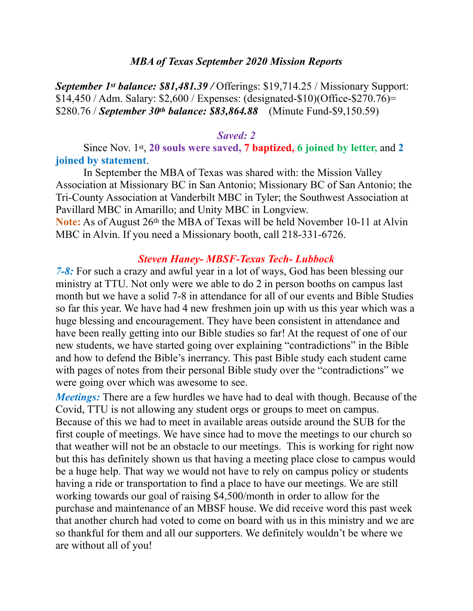#### *MBA of Texas September 2020 Mission Reports*

*September 1st balance: \$81,481.39 /* Offerings: \$19,714.25 / Missionary Support: \$14,450 / Adm. Salary: \$2,600 / Expenses: (designated-\$10)(Office-\$270.76)= \$280.76 / *September 30th balance: \$83,864.88* (Minute Fund-\$9,150.59)

#### *Saved: 2*

#### Since Nov. 1st, **20 souls were saved, 7 baptized, 6 joined by letter,** and **2 joined by statement**.

 In September the MBA of Texas was shared with: the Mission Valley Association at Missionary BC in San Antonio; Missionary BC of San Antonio; the Tri-County Association at Vanderbilt MBC in Tyler; the Southwest Association at Pavillard MBC in Amarillo; and Unity MBC in Longview.

**Note:** As of August 26<sup>th</sup> the MBA of Texas will be held November 10-11 at Alvin MBC in Alvin. If you need a Missionary booth, call 218-331-6726.

#### *Steven Haney- MBSF-Texas Tech- Lubbock*

*7-8:* For such a crazy and awful year in a lot of ways, God has been blessing our ministry at TTU. Not only were we able to do 2 in person booths on campus last month but we have a solid 7-8 in attendance for all of our events and Bible Studies so far this year. We have had 4 new freshmen join up with us this year which was a huge blessing and encouragement. They have been consistent in attendance and have been really getting into our Bible studies so far! At the request of one of our new students, we have started going over explaining "contradictions" in the Bible and how to defend the Bible's inerrancy. This past Bible study each student came with pages of notes from their personal Bible study over the "contradictions" we were going over which was awesome to see.

*Meetings:* There are a few hurdles we have had to deal with though. Because of the Covid, TTU is not allowing any student orgs or groups to meet on campus. Because of this we had to meet in available areas outside around the SUB for the first couple of meetings. We have since had to move the meetings to our church so that weather will not be an obstacle to our meetings. This is working for right now but this has definitely shown us that having a meeting place close to campus would be a huge help. That way we would not have to rely on campus policy or students having a ride or transportation to find a place to have our meetings. We are still working towards our goal of raising \$4,500/month in order to allow for the purchase and maintenance of an MBSF house. We did receive word this past week that another church had voted to come on board with us in this ministry and we are so thankful for them and all our supporters. We definitely wouldn't be where we are without all of you!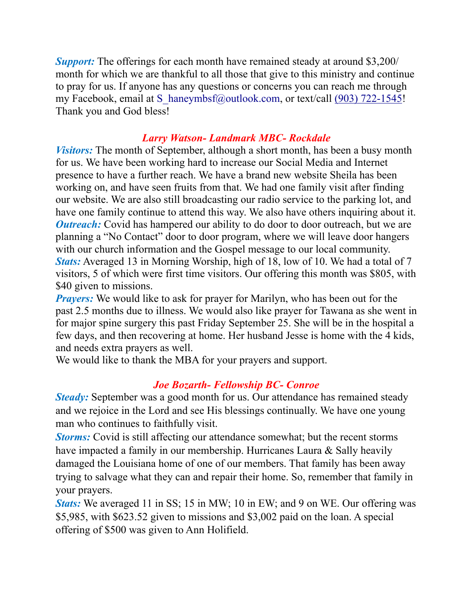*Support:* The offerings for each month have remained steady at around \$3,200/ month for which we are thankful to all those that give to this ministry and continue to pray for us. If anyone has any questions or concerns you can reach me through my Facebook, email at S\_haneymbsf@outlook.com, or text/call (903) 722-1545! Thank you and God bless!

### *Larry Watson- Landmark MBC- Rockdale*

*Visitors:* The month of September, although a short month, has been a busy month for us. We have been working hard to increase our Social Media and Internet presence to have a further reach. We have a brand new website Sheila has been working on, and have seen fruits from that. We had one family visit after finding our website. We are also still broadcasting our radio service to the parking lot, and have one family continue to attend this way. We also have others inquiring about it. *Outreach:* Covid has hampered our ability to do door to door outreach, but we are planning a "No Contact" door to door program, where we will leave door hangers with our church information and the Gospel message to our local community. *Stats:* Averaged 13 in Morning Worship, high of 18, low of 10. We had a total of 7 visitors, 5 of which were first time visitors. Our offering this month was \$805, with \$40 given to missions.

*Prayers:* We would like to ask for prayer for Marilyn, who has been out for the past 2.5 months due to illness. We would also like prayer for Tawana as she went in for major spine surgery this past Friday September 25. She will be in the hospital a few days, and then recovering at home. Her husband Jesse is home with the 4 kids, and needs extra prayers as well.

We would like to thank the MBA for your prayers and support.

### *Joe Bozarth- Fellowship BC- Conroe*

*Steady:* September was a good month for us. Our attendance has remained steady and we rejoice in the Lord and see His blessings continually. We have one young man who continues to faithfully visit.

*Storms:* Covid is still affecting our attendance somewhat; but the recent storms have impacted a family in our membership. Hurricanes Laura & Sally heavily damaged the Louisiana home of one of our members. That family has been away trying to salvage what they can and repair their home. So, remember that family in your prayers.

*Stats:* We averaged 11 in SS; 15 in MW; 10 in EW; and 9 on WE. Our offering was \$5,985, with \$623.52 given to missions and \$3,002 paid on the loan. A special offering of \$500 was given to Ann Holifield.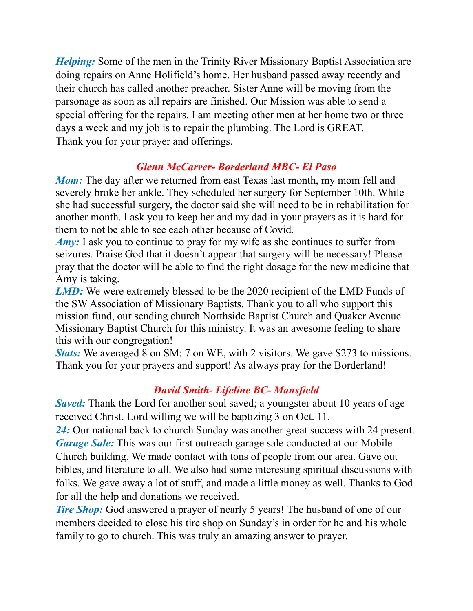*Helping:* Some of the men in the Trinity River Missionary Baptist Association are doing repairs on Anne Holifield's home. Her husband passed away recently and their church has called another preacher. Sister Anne will be moving from the parsonage as soon as all repairs are finished. Our Mission was able to send a special offering for the repairs. I am meeting other men at her home two or three days a week and my job is to repair the plumbing. The Lord is GREAT. Thank you for your prayer and offerings.

# *Glenn McCarver- Borderland MBC- El Paso*

*Mom:* The day after we returned from east Texas last month, my mom fell and severely broke her ankle. They scheduled her surgery for September 10th. While she had successful surgery, the doctor said she will need to be in rehabilitation for another month. I ask you to keep her and my dad in your prayers as it is hard for them to not be able to see each other because of Covid.

*Amy:* I ask you to continue to pray for my wife as she continues to suffer from seizures. Praise God that it doesn't appear that surgery will be necessary! Please pray that the doctor will be able to find the right dosage for the new medicine that Amy is taking.

*LMD*: We were extremely blessed to be the 2020 recipient of the LMD Funds of the SW Association of Missionary Baptists. Thank you to all who support this mission fund, our sending church Northside Baptist Church and Quaker Avenue Missionary Baptist Church for this ministry. It was an awesome feeling to share this with our congregation!

*Stats:* We averaged 8 on SM; 7 on WE, with 2 visitors. We gave \$273 to missions. Thank you for your prayers and support! As always pray for the Borderland!

# *David Smith- Lifeline BC- Mansfield*

*Saved*: Thank the Lord for another soul saved; a youngster about 10 years of age received Christ. Lord willing we will be baptizing 3 on Oct. 11.

*24:* Our national back to church Sunday was another great success with 24 present. *Garage Sale:* This was our first outreach garage sale conducted at our Mobile Church building. We made contact with tons of people from our area. Gave out bibles, and literature to all. We also had some interesting spiritual discussions with folks. We gave away a lot of stuff, and made a little money as well. Thanks to God for all the help and donations we received.

*Tire Shop:* God answered a prayer of nearly 5 years! The husband of one of our members decided to close his tire shop on Sunday's in order for he and his whole family to go to church. This was truly an amazing answer to prayer.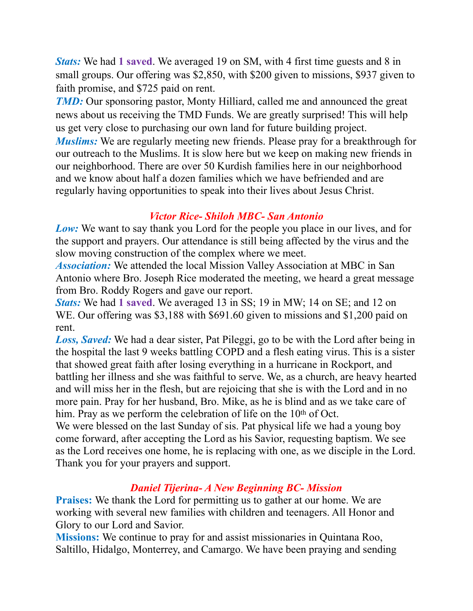*Stats:* We had **1 saved**. We averaged 19 on SM, with 4 first time guests and 8 in small groups. Our offering was \$2,850, with \$200 given to missions, \$937 given to faith promise, and \$725 paid on rent.

*TMD*: Our sponsoring pastor, Monty Hilliard, called me and announced the great news about us receiving the TMD Funds. We are greatly surprised! This will help us get very close to purchasing our own land for future building project.

*Muslims:* We are regularly meeting new friends. Please pray for a breakthrough for our outreach to the Muslims. It is slow here but we keep on making new friends in our neighborhood. There are over 50 Kurdish families here in our neighborhood and we know about half a dozen families which we have befriended and are regularly having opportunities to speak into their lives about Jesus Christ.

### *Victor Rice- Shiloh MBC- San Antonio*

*Low:* We want to say thank you Lord for the people you place in our lives, and for the support and prayers. Our attendance is still being affected by the virus and the slow moving construction of the complex where we meet.

*Association:* We attended the local Mission Valley Association at MBC in San Antonio where Bro. Joseph Rice moderated the meeting, we heard a great message from Bro. Roddy Rogers and gave our report.

*Stats:* We had **1 saved**. We averaged 13 in SS; 19 in MW; 14 on SE; and 12 on WE. Our offering was \$3,188 with \$691.60 given to missions and \$1,200 paid on rent.

*Loss, Saved:* We had a dear sister, Pat Pileggi, go to be with the Lord after being in the hospital the last 9 weeks battling COPD and a flesh eating virus. This is a sister that showed great faith after losing everything in a hurricane in Rockport, and battling her illness and she was faithful to serve. We, as a church, are heavy hearted and will miss her in the flesh, but are rejoicing that she is with the Lord and in no more pain. Pray for her husband, Bro. Mike, as he is blind and as we take care of him. Pray as we perform the celebration of life on the 10<sup>th</sup> of Oct.

We were blessed on the last Sunday of sis. Pat physical life we had a young boy come forward, after accepting the Lord as his Savior, requesting baptism. We see as the Lord receives one home, he is replacing with one, as we disciple in the Lord. Thank you for your prayers and support.

# *Daniel Tijerina- A New Beginning BC- Mission*

**Praises:** We thank the Lord for permitting us to gather at our home. We are working with several new families with children and teenagers. All Honor and Glory to our Lord and Savior.

**Missions:** We continue to pray for and assist missionaries in Quintana Roo, Saltillo, Hidalgo, Monterrey, and Camargo. We have been praying and sending